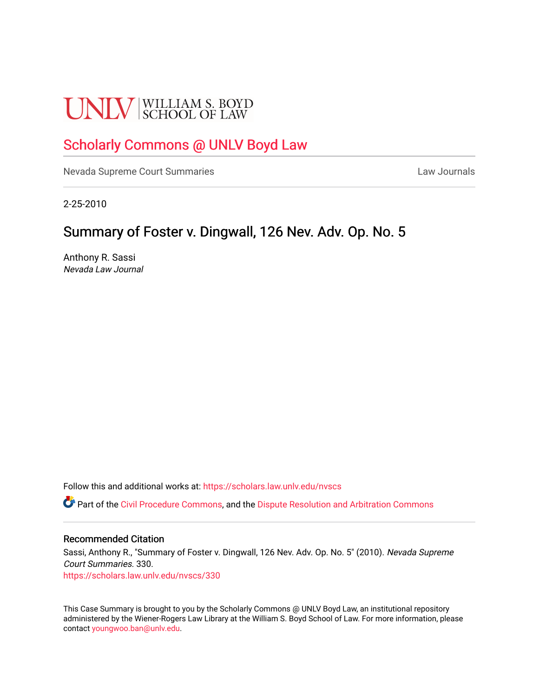# **UNLV** SCHOOL OF LAW

# [Scholarly Commons @ UNLV Boyd Law](https://scholars.law.unlv.edu/)

[Nevada Supreme Court Summaries](https://scholars.law.unlv.edu/nvscs) **Law Journals** Law Journals

2-25-2010

# Summary of Foster v. Dingwall, 126 Nev. Adv. Op. No. 5

Anthony R. Sassi Nevada Law Journal

Follow this and additional works at: [https://scholars.law.unlv.edu/nvscs](https://scholars.law.unlv.edu/nvscs?utm_source=scholars.law.unlv.edu%2Fnvscs%2F330&utm_medium=PDF&utm_campaign=PDFCoverPages)

**C** Part of the [Civil Procedure Commons,](http://network.bepress.com/hgg/discipline/584?utm_source=scholars.law.unlv.edu%2Fnvscs%2F330&utm_medium=PDF&utm_campaign=PDFCoverPages) and the Dispute Resolution and Arbitration Commons

#### Recommended Citation

Sassi, Anthony R., "Summary of Foster v. Dingwall, 126 Nev. Adv. Op. No. 5" (2010). Nevada Supreme Court Summaries. 330. [https://scholars.law.unlv.edu/nvscs/330](https://scholars.law.unlv.edu/nvscs/330?utm_source=scholars.law.unlv.edu%2Fnvscs%2F330&utm_medium=PDF&utm_campaign=PDFCoverPages)

This Case Summary is brought to you by the Scholarly Commons @ UNLV Boyd Law, an institutional repository administered by the Wiener-Rogers Law Library at the William S. Boyd School of Law. For more information, please contact [youngwoo.ban@unlv.edu](mailto:youngwoo.ban@unlv.edu).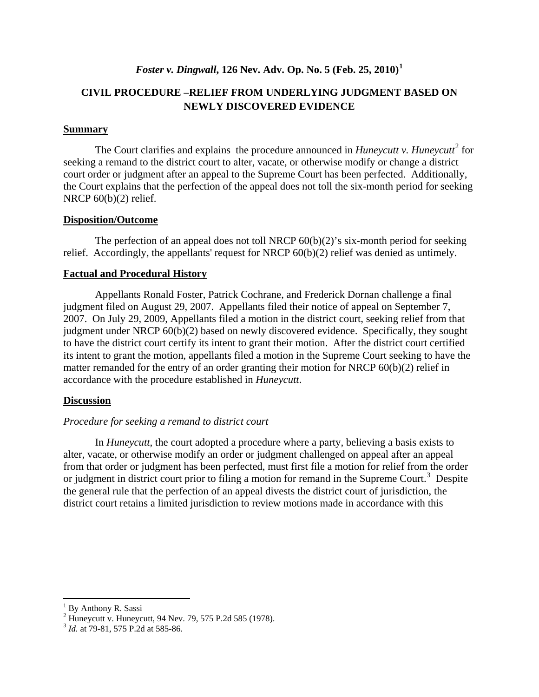## *Foster v. Dingwall***, 126 Nev. Adv. Op. No. 5 (Feb. 25, 2010) [1](#page-1-0)**

## **CIVIL PROCEDURE –RELIEF FROM UNDERLYING JUDGMENT BASED ON NEWLY DISCOVERED EVIDENCE**

#### **Summary**

The Court clarifies and explains the procedure announced in *Huneycutt v. Huneycutt*<sup>[2](#page-1-1)</sup> for seeking a remand to the district court to alter, vacate, or otherwise modify or change a district court order or judgment after an appeal to the Supreme Court has been perfected. Additionally, the Court explains that the perfection of the appeal does not toll the six-month period for seeking NRCP 60(b)(2) relief.

#### **Disposition/Outcome**

The perfection of an appeal does not toll NRCP  $60(b)(2)$ 's six-month period for seeking relief. Accordingly, the appellants' request for NRCP 60(b)(2) relief was denied as untimely.

#### **Factual and Procedural History**

Appellants Ronald Foster, Patrick Cochrane, and Frederick Dornan challenge a final judgment filed on August 29, 2007. Appellants filed their notice of appeal on September 7, 2007. On July 29, 2009, Appellants filed a motion in the district court, seeking relief from that judgment under NRCP 60(b)(2) based on newly discovered evidence. Specifically, they sought to have the district court certify its intent to grant their motion. After the district court certified its intent to grant the motion, appellants filed a motion in the Supreme Court seeking to have the matter remanded for the entry of an order granting their motion for NRCP 60(b)(2) relief in accordance with the procedure established in *Huneycutt*.

#### **Discussion**

#### *Procedure for seeking a remand to district court*

In *Huneycutt*, the court adopted a procedure where a party, believing a basis exists to alter, vacate, or otherwise modify an order or judgment challenged on appeal after an appeal from that order or judgment has been perfected, must first file a motion for relief from the order or judgment in district court prior to filing a motion for remand in the Supreme Court.<sup>[3](#page-1-2)</sup> Despite the general rule that the perfection of an appeal divests the district court of jurisdiction, the district court retains a limited jurisdiction to review motions made in accordance with this

l

<sup>&</sup>lt;sup>1</sup> By Anthony R. Sassi

<span id="page-1-1"></span><span id="page-1-0"></span><sup>&</sup>lt;sup>2</sup> Huneycutt v. Huneycutt, 94 Nev. 79, 575 P.2d 585 (1978).<br><sup>3</sup> *Id.* at 79-81, 575 P.2d at 585-86.

<span id="page-1-2"></span>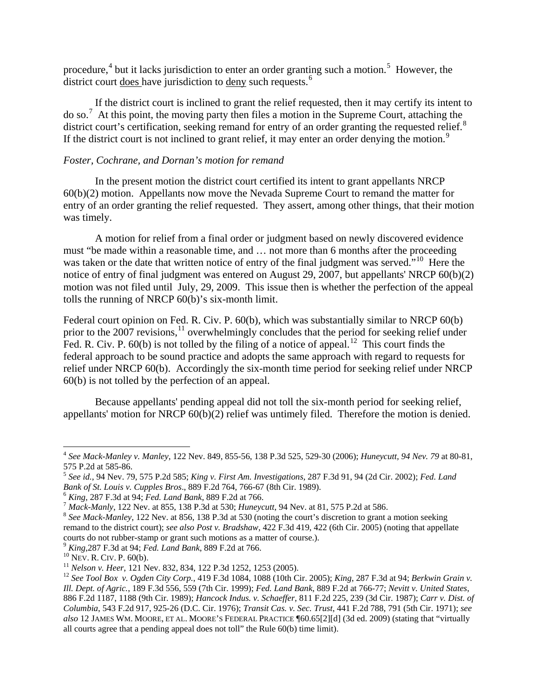procedure,<sup>[4](#page-2-0)</sup> but it lacks jurisdiction to enter an order granting such a motion.<sup>[5](#page-2-1)</sup> However, the district court does have jurisdiction to deny such requests.<sup>[6](#page-2-2)</sup>

If the district court is inclined to grant the relief requested, then it may certify its intent to do so.[7](#page-2-3) At this point, the moving party then files a motion in the Supreme Court, attaching the district court's certification, seeking remand for entry of an order granting the requested relief.<sup>[8](#page-2-4)</sup> If the district court is not inclined to grant relief, it may enter an order denying the motion.<sup>[9](#page-2-5)</sup>

#### *Foster, Cochrane, and Dornan's motion for remand*

In the present motion the district court certified its intent to grant appellants NRCP 60(b)(2) motion. Appellants now move the Nevada Supreme Court to remand the matter for entry of an order granting the relief requested. They assert, among other things, that their motion was timely.

A motion for relief from a final order or judgment based on newly discovered evidence must "be made within a reasonable time, and … not more than 6 months after the proceeding was taken or the date that written notice of entry of the final judgment was served."<sup>[10](#page-2-6)</sup> Here the notice of entry of final judgment was entered on August 29, 2007, but appellants' NRCP 60(b)(2) motion was not filed until July, 29, 2009. This issue then is whether the perfection of the appeal tolls the running of NRCP 60(b)'s six-month limit.

Federal court opinion on Fed. R. Civ. P. 60(b), which was substantially similar to NRCP 60(b) prior to the 2007 revisions,<sup>[11](#page-2-7)</sup> overwhelmingly concludes that the period for seeking relief under Fed. R. Civ. P.  $60(b)$  is not tolled by the filing of a notice of appeal.<sup>[12](#page-2-8)</sup> This court finds the federal approach to be sound practice and adopts the same approach with regard to requests for relief under NRCP 60(b). Accordingly the six-month time period for seeking relief under NRCP 60(b) is not tolled by the perfection of an appeal.

Because appellants' pending appeal did not toll the six-month period for seeking relief, appellants' motion for NRCP 60(b)(2) relief was untimely filed. Therefore the motion is denied.

l

<span id="page-2-0"></span><sup>4</sup> *See Mack-Manley v. Manley*, 122 Nev. 849, 855-56, 138 P.3d 525, 529-30 (2006); *Huneycutt, 94 Nev. 79* at 80-81,

<span id="page-2-1"></span><sup>575</sup> P.2d at 585-86. <sup>5</sup> *See id.*, 94 Nev. 79, 575 P.2d 585; *King v. First Am. Investigations*, 287 F.3d 91, 94 (2d Cir. 2002); *Fed. Land* 

<span id="page-2-4"></span><span id="page-2-3"></span>

<span id="page-2-2"></span><sup>&</sup>lt;sup>6</sup> King, 287 F.3d at 94; *Fed. Land Bank*, 889 F.2d at 766.<br><sup>7</sup> Mack-Manly, 122 Nev. at 855, 138 P.3d at 530; *Huneycutt*, 94 Nev. at 81, 575 P.2d at 586.<br><sup>8</sup> See Mack-Manley, 122 Nev. at 856, 138 P.3d at 530 (noting the remand to the district court); *see also Post v. Bradshaw*, 422 F.3d 419, 422 (6th Cir. 2005) (noting that appellate courts do not rubber-stamp or grant such motions as a matter of course.).<br>
<sup>9</sup> King, 287 F.3d at 94; *Fed. Land Bank*, 889 F.2d at 766.<br>
<sup>10</sup> Nev. R. Crv. P. 60(b).<br>
<sup>11</sup> Nelson v. Heer, 121 Nev. 832, 834, 122 P.3d 1252, 1

<span id="page-2-5"></span>

<span id="page-2-6"></span>

<span id="page-2-7"></span>

<span id="page-2-8"></span>*Ill. Dept. of Agric.*, 189 F.3d 556, 559 (7th Cir. 1999); *Fed. Land Bank*, 889 F.2d at 766-77; *Nevitt v. United States*, 886 F.2d 1187, 1188 (9th Cir. 1989); *Hancock Indus. v. Schaeffer*, 811 F.2d 225, 239 (3d Cir. 1987); *Carr v. Dist. of Columbia*, 543 F.2d 917, 925-26 (D.C. Cir. 1976); *Transit Cas. v. Sec. Trust*, 441 F.2d 788, 791 (5th Cir. 1971); *see also* 12 JAMES WM. MOORE, ET AL. MOORE'S FEDERAL PRACTICE ¶60.65[2][d] (3d ed. 2009) (stating that "virtually all courts agree that a pending appeal does not toll" the Rule 60(b) time limit).